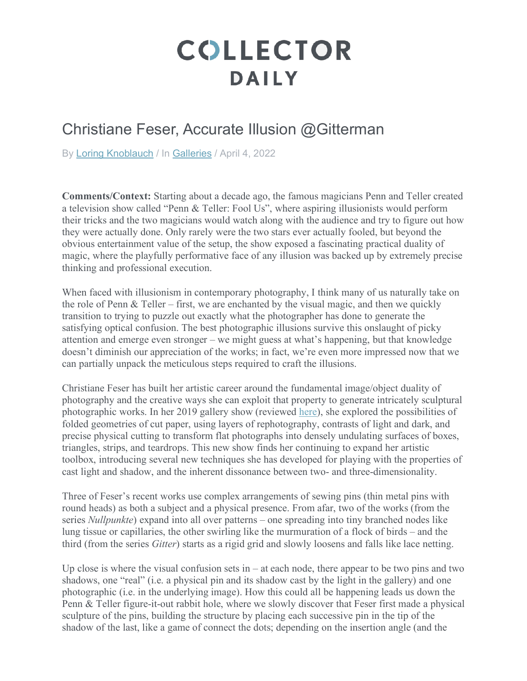## **COLLECTOR DAILY**

## Christiane Feser, Accurate Illusion @Gitterman

By Loring Knoblauch / In Galleries / April 4, 2022

**Comments/Context:** Starting about a decade ago, the famous magicians Penn and Teller created a television show called "Penn & Teller: Fool Us", where aspiring illusionists would perform their tricks and the two magicians would watch along with the audience and try to figure out how they were actually done. Only rarely were the two stars ever actually fooled, but beyond the obvious entertainment value of the setup, the show exposed a fascinating practical duality of magic, where the playfully performative face of any illusion was backed up by extremely precise thinking and professional execution.

When faced with illusionism in contemporary photography, I think many of us naturally take on the role of Penn & Teller – first, we are enchanted by the visual magic, and then we quickly transition to trying to puzzle out exactly what the photographer has done to generate the satisfying optical confusion. The best photographic illusions survive this onslaught of picky attention and emerge even stronger – we might guess at what's happening, but that knowledge doesn't diminish our appreciation of the works; in fact, we're even more impressed now that we can partially unpack the meticulous steps required to craft the illusions.

Christiane Feser has built her artistic career around the fundamental image/object duality of photography and the creative ways she can exploit that property to generate intricately sculptural photographic works. In her 2019 gallery show (reviewed here), she explored the possibilities of folded geometries of cut paper, using layers of rephotography, contrasts of light and dark, and precise physical cutting to transform flat photographs into densely undulating surfaces of boxes, triangles, strips, and teardrops. This new show finds her continuing to expand her artistic toolbox, introducing several new techniques she has developed for playing with the properties of cast light and shadow, and the inherent dissonance between two- and three-dimensionality.

Three of Feser's recent works use complex arrangements of sewing pins (thin metal pins with round heads) as both a subject and a physical presence. From afar, two of the works (from the series *Nullpunkte*) expand into all over patterns – one spreading into tiny branched nodes like lung tissue or capillaries, the other swirling like the murmuration of a flock of birds – and the third (from the series *Gitter*) starts as a rigid grid and slowly loosens and falls like lace netting.

Up close is where the visual confusion sets in  $-$  at each node, there appear to be two pins and two shadows, one "real" (i.e. a physical pin and its shadow cast by the light in the gallery) and one photographic (i.e. in the underlying image). How this could all be happening leads us down the Penn & Teller figure-it-out rabbit hole, where we slowly discover that Feser first made a physical sculpture of the pins, building the structure by placing each successive pin in the tip of the shadow of the last, like a game of connect the dots; depending on the insertion angle (and the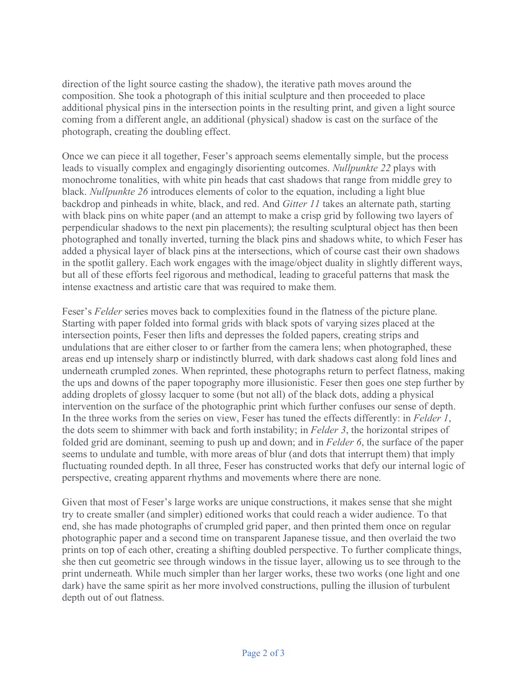direction of the light source casting the shadow), the iterative path moves around the composition. She took a photograph of this initial sculpture and then proceeded to place additional physical pins in the intersection points in the resulting print, and given a light source coming from a different angle, an additional (physical) shadow is cast on the surface of the photograph, creating the doubling effect.

Once we can piece it all together, Feser's approach seems elementally simple, but the process leads to visually complex and engagingly disorienting outcomes. *Nullpunkte 22* plays with monochrome tonalities, with white pin heads that cast shadows that range from middle grey to black. *Nullpunkte 26* introduces elements of color to the equation, including a light blue backdrop and pinheads in white, black, and red. And *Gitter 11* takes an alternate path, starting with black pins on white paper (and an attempt to make a crisp grid by following two layers of perpendicular shadows to the next pin placements); the resulting sculptural object has then been photographed and tonally inverted, turning the black pins and shadows white, to which Feser has added a physical layer of black pins at the intersections, which of course cast their own shadows in the spotlit gallery. Each work engages with the image/object duality in slightly different ways, but all of these efforts feel rigorous and methodical, leading to graceful patterns that mask the intense exactness and artistic care that was required to make them.

Feser's *Felder* series moves back to complexities found in the flatness of the picture plane. Starting with paper folded into formal grids with black spots of varying sizes placed at the intersection points, Feser then lifts and depresses the folded papers, creating strips and undulations that are either closer to or farther from the camera lens; when photographed, these areas end up intensely sharp or indistinctly blurred, with dark shadows cast along fold lines and underneath crumpled zones. When reprinted, these photographs return to perfect flatness, making the ups and downs of the paper topography more illusionistic. Feser then goes one step further by adding droplets of glossy lacquer to some (but not all) of the black dots, adding a physical intervention on the surface of the photographic print which further confuses our sense of depth. In the three works from the series on view, Feser has tuned the effects differently: in *Felder 1*, the dots seem to shimmer with back and forth instability; in *Felder 3*, the horizontal stripes of folded grid are dominant, seeming to push up and down; and in *Felder 6*, the surface of the paper seems to undulate and tumble, with more areas of blur (and dots that interrupt them) that imply fluctuating rounded depth. In all three, Feser has constructed works that defy our internal logic of perspective, creating apparent rhythms and movements where there are none.

Given that most of Feser's large works are unique constructions, it makes sense that she might try to create smaller (and simpler) editioned works that could reach a wider audience. To that end, she has made photographs of crumpled grid paper, and then printed them once on regular photographic paper and a second time on transparent Japanese tissue, and then overlaid the two prints on top of each other, creating a shifting doubled perspective. To further complicate things, she then cut geometric see through windows in the tissue layer, allowing us to see through to the print underneath. While much simpler than her larger works, these two works (one light and one dark) have the same spirit as her more involved constructions, pulling the illusion of turbulent depth out of out flatness.